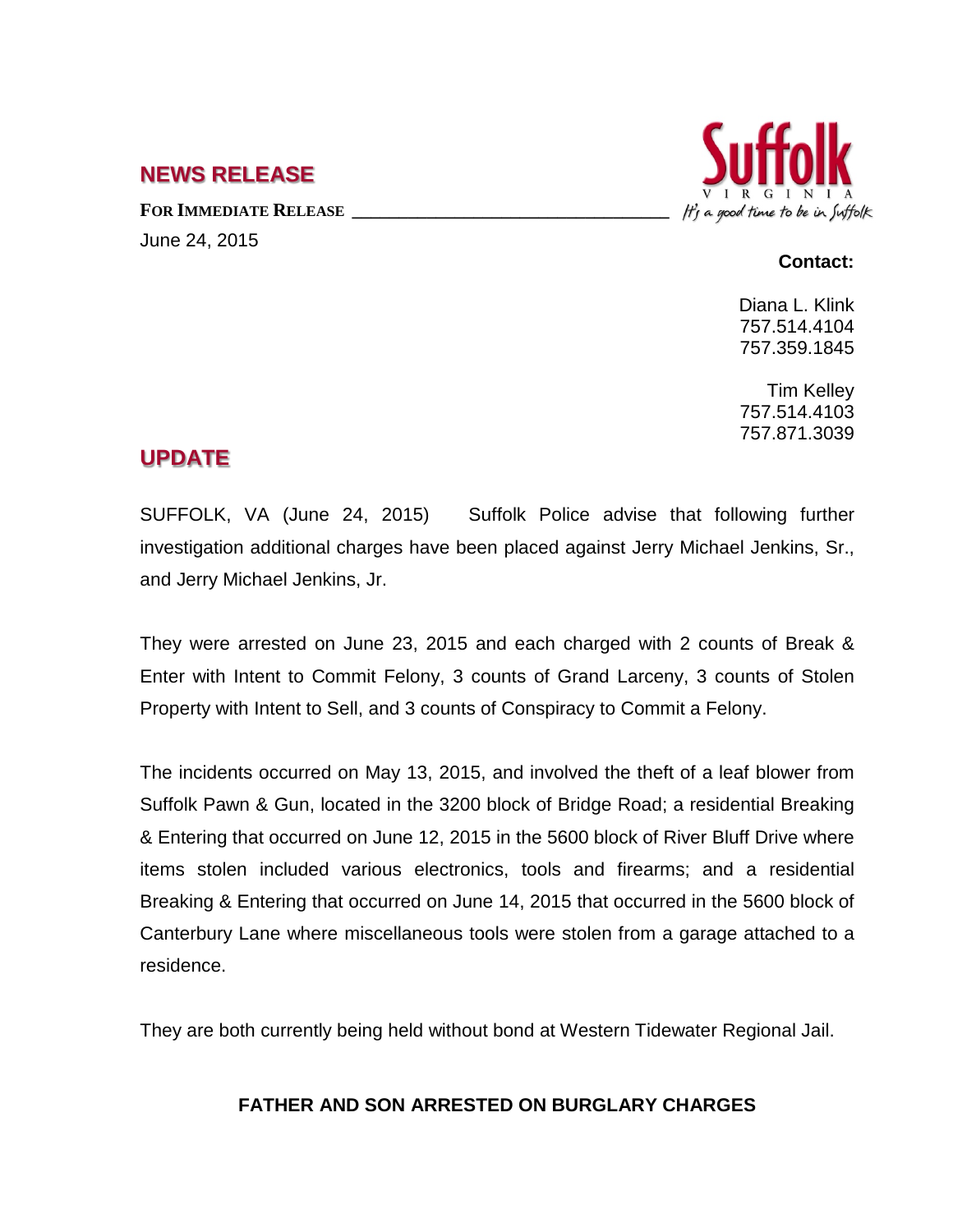## **NEWS RELEASE**

FOR **IMMEDIATE RELEASE** June 24, 2015



## **Contact:**

Diana L. Klink 757.514.4104 757.359.1845

Tim Kelley 757.514.4103 757.871.3039

## **UPDATE**

SUFFOLK, VA (June 24, 2015) Suffolk Police advise that following further investigation additional charges have been placed against Jerry Michael Jenkins, Sr., and Jerry Michael Jenkins, Jr.

They were arrested on June 23, 2015 and each charged with 2 counts of Break & Enter with Intent to Commit Felony, 3 counts of Grand Larceny, 3 counts of Stolen Property with Intent to Sell, and 3 counts of Conspiracy to Commit a Felony.

The incidents occurred on May 13, 2015, and involved the theft of a leaf blower from Suffolk Pawn & Gun, located in the 3200 block of Bridge Road; a residential Breaking & Entering that occurred on June 12, 2015 in the 5600 block of River Bluff Drive where items stolen included various electronics, tools and firearms; and a residential Breaking & Entering that occurred on June 14, 2015 that occurred in the 5600 block of Canterbury Lane where miscellaneous tools were stolen from a garage attached to a residence.

They are both currently being held without bond at Western Tidewater Regional Jail.

## **FATHER AND SON ARRESTED ON BURGLARY CHARGES**